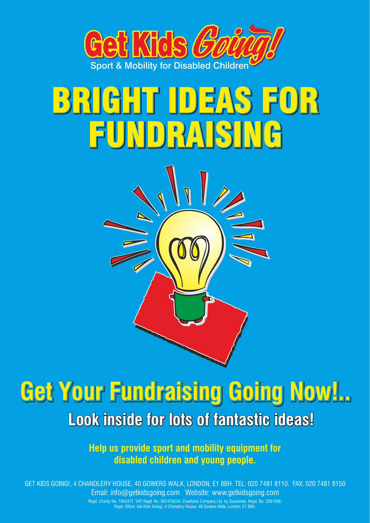

# BRIGHT IDEAS FOR BRIGHT IDEAS FOR FUNDRAISING FUNDRAISING



**Help us provide sport and mobility equipment for disabled children and young people.**

GET KIDS GOING!, 4 CHANDLERY HOUSE, 40 GOWERS WALK, LONDON, E1 8BH. TEL: 020 7481 8110. FAX: 020 7481 8150 Email: info@getkidsgoing.com Website: www.getkidsgoing.com

> Regd. Charity No. 1063471. VAT Regd. No. 902476534. Charitable Company Ltd. by Guarantee. Regd. No. 3391908. Regd. Office: Get Kids Going!, 4 Chandlery House, 40 Gowers Walk, London, E1 8BH.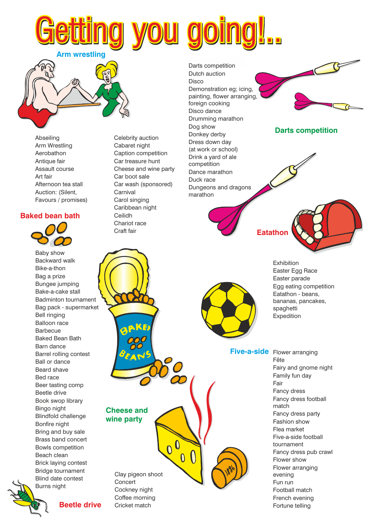Darts competition Dutch auction Disco Demonstration eg; icing, painting, flower arranging, foreign cooking Disco dance Drumming marathon Dog show Donkey derby Dress down day (at work or school) Drink a yard of ale competition Dance marathon Duck race Dungeons and dragons marathon

**Darts competition**

**Eatathon**



**Five-a-side** Flower arranging

Fête Fairy and gnome night Family fun day Fair Fancy dress Fancy dress football match Fancy dress party Fashion show Flea market Five-a-side football tournament Fancy dress pub crawl Flower show Flower arranging evening Fun run Football match French evening Fortune telling

Celebrity auction Cabaret night Caption competition Car treasure hunt Cheese and wine party Car boot sale Car wash (sponsored) **Carnival** Carol singing Caribbean night Ceilidh

etting you going!..

Chariot race Craft fair

# **Baked bean bath**

Afternoon tea stall Auction: (Silent, Favours / promises)

Abseiling Arm Wrestling Aerobathon Antique fair Assault course

Art fair

**Arm wrestling**



Baby show Backward walk Bike-a-thon Bag a prize Bungee jumping Bake-a-cake stall Badminton tournament Bag pack - supermarket Bell ringing Balloon race **Barbecue** Baked Bean Bath Barn dance Barrel rolling contest Ball or dance Beard shave Bed race Beer tasting comp Beetle drive Book swop library Bingo night Blindfold challenge Bonfire night Bring and buy sale Brass band concert Bowls competition Beach clean Brick laying contest Bridge tournament Blind date contest Burns night

**Beetle drive**

**Cheese and wine party**

> Clay pigeon shoot Cockney night Coffee morning Cricket match

 $\overline{0}$ 

 $\overline{\mathbf{0}}$ 

**Concert**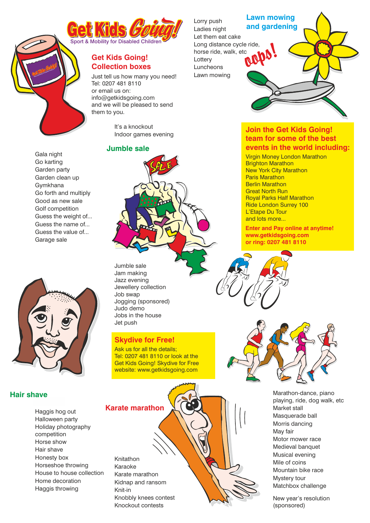

## **Get Kids Going! Collection boxes**

Just tell us how many you need! Tel: 0207 481 8110 or email us on: info@getkidsgoing.com and we will be pleased to send them to you.



Jazz evening Jewellery collection Jogging (sponsored) Jobs in the house

## **Skydive for Free!**

Marathon-dance, piano playing, ride, dog walk, etc Market stall Masquerade ball Morris dancing May fair Motor mower race Medieval banquet Musical evening Mile of coins Mountain bike race Mystery tour Matchbox challenge

New year's resolution (sponsored)



Knitathon Karaoke Karate marathon Kidnap and ransom Knit-in Knobbly knees contest Knockout contests

It's a knockout Indoor games evening

#### **Jumble sale**

# Jumble sale Jam making Job swap Judo demo Guess the weight of... Guess the name of... Guess the value of... Garage sale Jet push



Ask us for all the details: Tel: 0207 481 8110 or look at the Get Kids Going! Skydive for Free website: www.getkidsgoing.com

## **Hair shave**

Gala night Go karting Garden party Garden clean up Gymkhana

Sport & Mobile Children

Go forth and multiply Good as new sale Golf competition

Haggis hog out Halloween party Holiday photography competition Horse show Hair shave Honesty box Horseshoe throwing House to house collection Home decoration Haggis throwing



**Join the Get Kids Going! team for some of the best events in the world including:**

Virgin Money London Marathon Brighton Marathon New York City Marathon Paris Marathon Berlin Marathon Great North Run Royal Parks Half Marathon Ride London Surrey 100 L'Etape Du Tour and lots more...

**Enter and Pay online at anytime! www.getkidsgoing.com or ring: 0207 481 8110**





# **Lawn mowing and gardening**



Lorry push